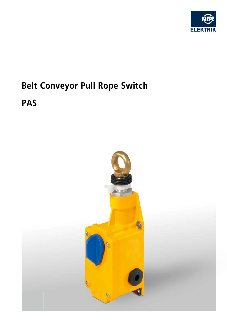

# **Belt Conveyor Pull Rope Switch**

## **PAS**

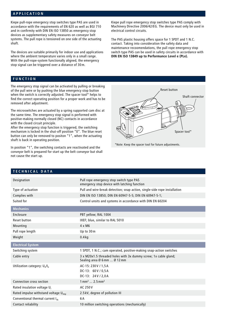#### **APPLICATION**

Kiepe pull-rope emergency stop switches type PAS are used in accordance with the requirements of EN 620 as well as BGI 710 and in confirmity with DIN EN ISO 13850 as emergency stop devices as supplementary safety measures on conveyor belt systems. The pull rope is tensioned on one side of the actuating shaft.

The devices are suitable primarily for indoor use and applications where the ambient temperature varies only in a small range. With the pull-rope-system functionally aligned, the emergency stop signal can be triggered over a distance of 30m.

#### **FUNCTION**

The emergency stop signal can be activated by pulling or breaking of the pull wire or by pushing the blue emergency stop button when the switch is correctly adjusted. The spacer tool\* helps to find the correct operating position for a proper work and has to be removed after adjustment.

The microswitches are actuated by a spring supported cam disc at the same time. The emergency stop signal is performed with positive-making normally closed (NC) contacts in accordance with the closed circuit principle.

After the emergency stop function is triggered, the switching mechanism is locked in the shut-off position "0". The blue reset button can only be removed to positon "1", when the actuating shaft is back in operating position.

In position "1", the switching contacts are reactivated and the conveyor belt is prepared for start up the belt conveyor but shall not cause the start up.

Kiepe pull rope emergency stop switches type PAS comply with Machinery Directive 2006/42/EG. The device must only be used in electrical control circuits.

The PAS plastic housing offers space for 1 SPDT and 1 N.C. contact. Taking into consideration the safety data and maintenance recoomendations, the pull rope emergency stop switch type PAS can be used in safety circuits in accordance with **DIN EN ISO 13849 up to Performance Level e (PLe).** 



<sup>\*</sup>Note: Keep the spacer tool for future adjustments.

| <b>TECHNICAL DATA</b>                                |                                                                                                 |
|------------------------------------------------------|-------------------------------------------------------------------------------------------------|
|                                                      |                                                                                                 |
| Designation                                          | Pull rope emergency stop switch type PAS<br>emergency stop device with latching function        |
| Type of actuation                                    | Pull and wire-break detection; snap action, single-side rope installation                       |
| Complies with                                        | DIN EN ISO 13850; DIN EN 60947-5-5; DIN EN 60947-5-1;                                           |
| Suited for                                           | Control unsits and systems in accordance with DIN EN 60204                                      |
| <b>Mechanics</b>                                     |                                                                                                 |
| Enclosure                                            | PBT yellow; RAL 1004                                                                            |
| Reset button                                         | IXEF; blue, similar to RAL 5010                                                                 |
| Mounting                                             | $4 \times M6$                                                                                   |
| Pull rope length                                     | Up to 30 m                                                                                      |
| Weight                                               | $0.4$ kg                                                                                        |
| <b>Electrical System</b>                             |                                                                                                 |
| Switching system                                     | 1 SPDT, 1 N.C.; cam operated, positive-making snap-action switches                              |
| Cable entry                                          | 3 x M20x1.5 threaded holes with 3x dummy screw; 1x cable gland;<br>Sealing area Ø 6 mm  Ø 12 mm |
| Utilization category: U <sub>e</sub> /I <sub>e</sub> | AC-15: 230 V / 1,5 A                                                                            |
|                                                      | DC-13: 60 V / 0,5 A                                                                             |
|                                                      | DC-13: 24V / 2,0A                                                                               |
| Connection cross section                             | $1 \text{ mm}^2$ 2.5 mm <sup>2</sup>                                                            |
| Rated insulation voltage U <sub>i</sub>              | AC 250V                                                                                         |
| Rated impulse withstand voltage U <sub>imp</sub>     | 2.5 kV, degree of pollution III                                                                 |
| Conventional thermal current Ith                     | 6 A                                                                                             |
| Contact reliability                                  | 10 million switching operations (mechanically)                                                  |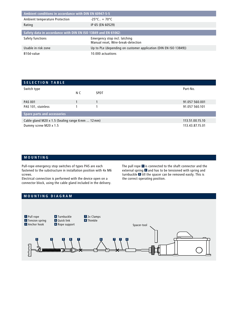| Ambient conditions in accordance with DIN EN 60947-5-5        |                                                                     |  |  |  |
|---------------------------------------------------------------|---------------------------------------------------------------------|--|--|--|
| Ambient temperature Protection                                | $-25^{\circ}$ C + 70°C                                              |  |  |  |
| Rating                                                        | IP 65 (EN 60529)                                                    |  |  |  |
|                                                               |                                                                     |  |  |  |
| Safety data in accordance with DIN EN ISO 13849 and EN 61062: |                                                                     |  |  |  |
| Safety functions                                              | Emergency stop incl. latching<br>Manual reset, Wire-break-detection |  |  |  |
| Usable in risk zone                                           | Up to PLe (depending on customer application (DIN EN ISO 13849))    |  |  |  |
| B10d-value                                                    | 10.000 actuations                                                   |  |  |  |

| SELECTION TABLE                                   |     |             |                 |  |  |
|---------------------------------------------------|-----|-------------|-----------------|--|--|
| Switch type                                       | N C | <b>SPDT</b> | Part-No.        |  |  |
| <b>PAS 001</b>                                    |     |             | 91.057 560.001  |  |  |
| PAS 101, stainless                                |     |             | 91.057 560.101  |  |  |
| <b>Spare parts and accessories</b>                |     |             |                 |  |  |
| Cable gland M20 x 1.5 (Sealing range 6 mm  12 mm) |     |             | 113.51.00.15.10 |  |  |
| Dummy screw M20 x 1.5                             |     |             | 113.43.87.15.01 |  |  |

### **MOUNTING**

Pull-rope emergency stop switches of types PAS are each fastened to the substructure in installation position with 4x M6 screws.

Electrical connection is performed with the device open on a connector block, using the cable gland included in the delivery. The pull rope **1** is connected to the shaft connector and the external spring **2** and has to be tensioned with spring and turnbuckle **4** till the spacer can be removed easily. This is the correct operating position.

#### **MOUNTING DIAGRAM**